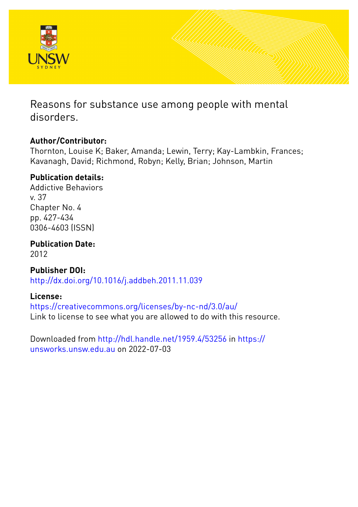

Reasons for substance use among people with mental disorders.

# **Author/Contributor:**

Thornton, Louise K; Baker, Amanda; Lewin, Terry; Kay-Lambkin, Frances; Kavanagh, David; Richmond, Robyn; Kelly, Brian; Johnson, Martin

# **Publication details:**

Addictive Behaviors v. 37 Chapter No. 4 pp. 427-434 0306-4603 (ISSN)

**Publication Date:** 2012

**Publisher DOI:** [http://dx.doi.org/10.1016/j.addbeh.2011.11.039](http://dx.doi.org/http://dx.doi.org/10.1016/j.addbeh.2011.11.039)

# **License:**

<https://creativecommons.org/licenses/by-nc-nd/3.0/au/> Link to license to see what you are allowed to do with this resource.

Downloaded from <http://hdl.handle.net/1959.4/53256> in [https://](https://unsworks.unsw.edu.au) [unsworks.unsw.edu.au](https://unsworks.unsw.edu.au) on 2022-07-03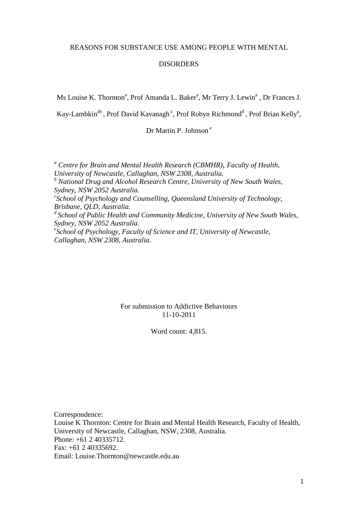## REASONS FOR SUBSTANCE USE AMONG PEOPLE WITH MENTAL

## DISORDERS

Ms Louise K. Thornton<sup>a</sup>, Prof Amanda L. Baker<sup>a</sup>, Mr Terry J. Lewin<sup>a</sup>, Dr Frances J.

Kay-Lambkin<sup>ab</sup>, Prof David Kavanagh<sup>c</sup>, Prof Robyn Richmond<sup>d</sup>, Prof Brian Kelly<sup>a</sup>,

Dr Martin P. Johnson<sup>e</sup>

*<sup>a</sup> Centre for Brain and Mental Health Research (CBMHR)*, *Faculty of Health, University of Newcastle, Callaghan, NSW 2308, Australia. <sup>b</sup> National Drug and Alcohol Research Centre, University of New South Wales, Sydney, NSW 2052 Australia. c School of Psychology and Counselling, Queensland University of Technology, Brisbane, QLD, Australia. <sup>d</sup> School of Public Health and Community Medicine, University of New South Wales, Sydney, NSW 2052 Australia. e School of Psychology, Faculty of Science and IT, University of Newcastle, Callaghan, NSW 2308, Australia.*

> For submission to Addictive Behaviours 11-10-2011

> > Word count: 4,815.

Correspondence: Louise K Thornton: Centre for Brain and Mental Health Research, Faculty of Health, University of Newcastle, Callaghan, NSW, 2308, Australia. Phone: +61 2 40335712. Fax: +61 2 40335692. Email: Louise.Thornton@newcastle.edu.au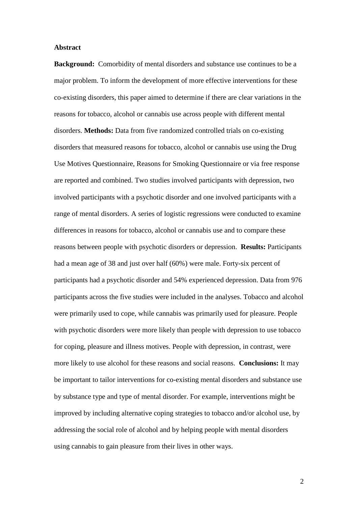#### **Abstract**

**Background:** Comorbidity of mental disorders and substance use continues to be a major problem. To inform the development of more effective interventions for these co-existing disorders, this paper aimed to determine if there are clear variations in the reasons for tobacco, alcohol or cannabis use across people with different mental disorders. **Methods:** Data from five randomized controlled trials on co-existing disorders that measured reasons for tobacco, alcohol or cannabis use using the Drug Use Motives Questionnaire, Reasons for Smoking Questionnaire or via free response are reported and combined. Two studies involved participants with depression, two involved participants with a psychotic disorder and one involved participants with a range of mental disorders. A series of logistic regressions were conducted to examine differences in reasons for tobacco, alcohol or cannabis use and to compare these reasons between people with psychotic disorders or depression. **Results:** Participants had a mean age of 38 and just over half (60%) were male. Forty-six percent of participants had a psychotic disorder and 54% experienced depression. Data from 976 participants across the five studies were included in the analyses. Tobacco and alcohol were primarily used to cope, while cannabis was primarily used for pleasure. People with psychotic disorders were more likely than people with depression to use tobacco for coping, pleasure and illness motives. People with depression, in contrast, were more likely to use alcohol for these reasons and social reasons. **Conclusions:** It may be important to tailor interventions for co-existing mental disorders and substance use by substance type and type of mental disorder. For example, interventions might be improved by including alternative coping strategies to tobacco and/or alcohol use, by addressing the social role of alcohol and by helping people with mental disorders using cannabis to gain pleasure from their lives in other ways.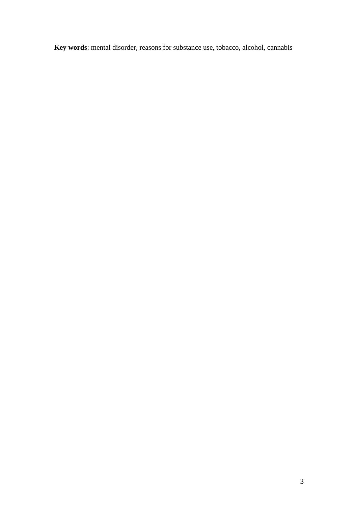**Key words**: mental disorder, reasons for substance use, tobacco, alcohol, cannabis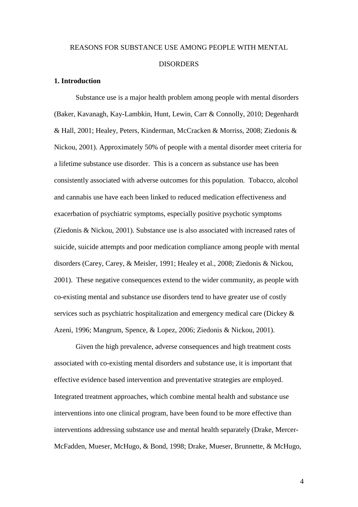# REASONS FOR SUBSTANCE USE AMONG PEOPLE WITH MENTAL **DISORDERS**

#### **1. Introduction**

Substance use is a major health problem among people with mental disorders (Baker, Kavanagh, Kay-Lambkin, Hunt, Lewin, Carr & Connolly, 2010; Degenhardt & Hall, 2001; Healey, Peters, Kinderman, McCracken & Morriss, 2008; Ziedonis & Nickou, 2001). Approximately 50% of people with a mental disorder meet criteria for a lifetime substance use disorder. This is a concern as substance use has been consistently associated with adverse outcomes for this population. Tobacco, alcohol and cannabis use have each been linked to reduced medication effectiveness and exacerbation of psychiatric symptoms, especially positive psychotic symptoms (Ziedonis & Nickou, 2001). Substance use is also associated with increased rates of suicide, suicide attempts and poor medication compliance among people with mental disorders (Carey, Carey, & Meisler, 1991; Healey et al., 2008; Ziedonis & Nickou, 2001). These negative consequences extend to the wider community, as people with co-existing mental and substance use disorders tend to have greater use of costly services such as psychiatric hospitalization and emergency medical care (Dickey & Azeni, 1996; Mangrum, Spence, & Lopez, 2006; Ziedonis & Nickou, 2001).

Given the high prevalence, adverse consequences and high treatment costs associated with co-existing mental disorders and substance use, it is important that effective evidence based intervention and preventative strategies are employed. Integrated treatment approaches, which combine mental health and substance use interventions into one clinical program, have been found to be more effective than interventions addressing substance use and mental health separately (Drake, Mercer-McFadden, Mueser, McHugo, & Bond, 1998; Drake, Mueser, Brunnette, & McHugo,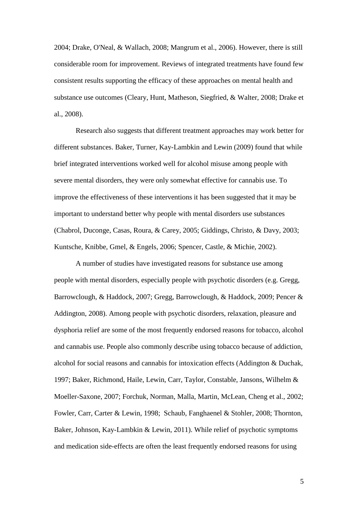2004; Drake, O'Neal, & Wallach, 2008; Mangrum et al., 2006). However, there is still considerable room for improvement. Reviews of integrated treatments have found few consistent results supporting the efficacy of these approaches on mental health and substance use outcomes (Cleary, Hunt, Matheson, Siegfried, & Walter, 2008; Drake et al., 2008).

Research also suggests that different treatment approaches may work better for different substances. Baker, Turner, Kay-Lambkin and Lewin (2009) found that while brief integrated interventions worked well for alcohol misuse among people with severe mental disorders, they were only somewhat effective for cannabis use. To improve the effectiveness of these interventions it has been suggested that it may be important to understand better why people with mental disorders use substances (Chabrol, Duconge, Casas, Roura, & Carey, 2005; Giddings, Christo, & Davy, 2003; Kuntsche, Knibbe, Gmel, & Engels, 2006; Spencer, Castle, & Michie, 2002).

A number of studies have investigated reasons for substance use among people with mental disorders, especially people with psychotic disorders (e.g. Gregg, Barrowclough, & Haddock, 2007; Gregg, Barrowclough, & Haddock, 2009; Pencer & Addington, 2008). Among people with psychotic disorders, relaxation, pleasure and dysphoria relief are some of the most frequently endorsed reasons for tobacco, alcohol and cannabis use. People also commonly describe using tobacco because of addiction, alcohol for social reasons and cannabis for intoxication effects (Addington & Duchak, 1997; Baker, Richmond, Haile, Lewin, Carr, Taylor, Constable, Jansons, Wilhelm & Moeller-Saxone, 2007; Forchuk, Norman, Malla, Martin, McLean, Cheng et al., 2002; Fowler, Carr, Carter & Lewin, 1998; Schaub, Fanghaenel & Stohler, 2008; Thornton, Baker, Johnson, Kay-Lambkin & Lewin, 2011). While relief of psychotic symptoms and medication side-effects are often the least frequently endorsed reasons for using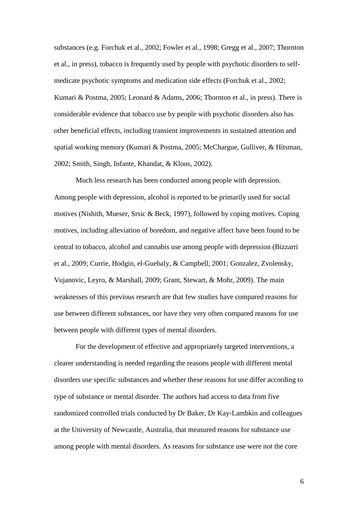substances (e.g. Forchuk et al., 2002; Fowler et al., 1998; Gregg et al., 2007; Thornton et al., in press), tobacco is frequently used by people with psychotic disorders to selfmedicate psychotic symptoms and medication side effects (Forchuk et al., 2002; Kumari & Postma, 2005; Leonard & Adams, 2006; Thornton et al., in press). There is considerable evidence that tobacco use by people with psychotic disorders also has other beneficial effects, including transient improvements in sustained attention and spatial working memory (Kumari & Postma, 2005; McChargue, Gulliver, & Hitsman, 2002; Smith, Singh, Infante, Khandat, & Kloos, 2002).

Much less research has been conducted among people with depression. Among people with depression, alcohol is reported to be primarily used for social motives (Nishith, Mueser, Srsic & Beck, 1997), followed by coping motives. Coping motives, including alleviation of boredom, and negative affect have been found to be central to tobacco, alcohol and cannabis use among people with depression (Bizzarri et al., 2009; Currie, Hodgin, el-Guebaly, & Campbell, 2001; Gonzalez, Zvolensky, Vujanovic, Leyro, & Marshall, 2009; Grant, Stewart, & Mohr, 2009). The main weaknesses of this previous research are that few studies have compared reasons for use between different substances, nor have they very often compared reasons for use between people with different types of mental disorders.

For the development of effective and appropriately targeted interventions, a clearer understanding is needed regarding the reasons people with different mental disorders use specific substances and whether these reasons for use differ according to type of substance or mental disorder. The authors had access to data from five randomized controlled trials conducted by Dr Baker, Dr Kay-Lambkin and colleagues at the University of Newcastle, Australia, that measured reasons for substance use among people with mental disorders. As reasons for substance use were not the core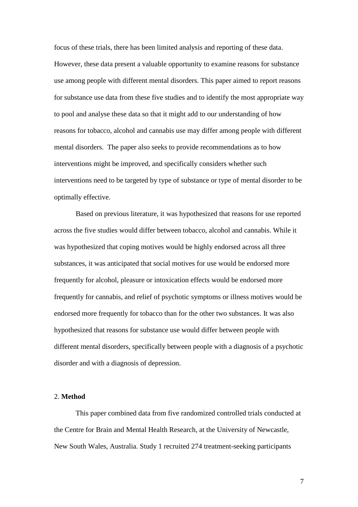focus of these trials, there has been limited analysis and reporting of these data. However, these data present a valuable opportunity to examine reasons for substance use among people with different mental disorders. This paper aimed to report reasons for substance use data from these five studies and to identify the most appropriate way to pool and analyse these data so that it might add to our understanding of how reasons for tobacco, alcohol and cannabis use may differ among people with different mental disorders. The paper also seeks to provide recommendations as to how interventions might be improved, and specifically considers whether such interventions need to be targeted by type of substance or type of mental disorder to be optimally effective.

Based on previous literature, it was hypothesized that reasons for use reported across the five studies would differ between tobacco, alcohol and cannabis. While it was hypothesized that coping motives would be highly endorsed across all three substances, it was anticipated that social motives for use would be endorsed more frequently for alcohol, pleasure or intoxication effects would be endorsed more frequently for cannabis, and relief of psychotic symptoms or illness motives would be endorsed more frequently for tobacco than for the other two substances. It was also hypothesized that reasons for substance use would differ between people with different mental disorders, specifically between people with a diagnosis of a psychotic disorder and with a diagnosis of depression.

#### 2. **Method**

This paper combined data from five randomized controlled trials conducted at the Centre for Brain and Mental Health Research, at the University of Newcastle, New South Wales, Australia. Study 1 recruited 274 treatment-seeking participants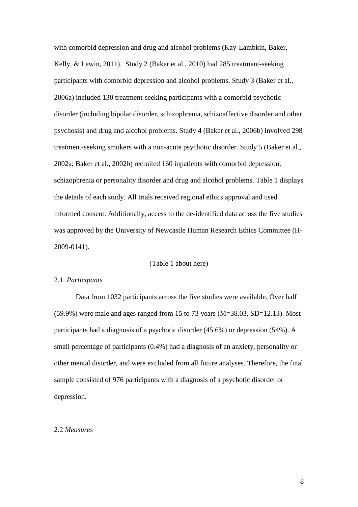with comorbid depression and drug and alcohol problems (Kay-Lambkin, Baker, Kelly, & Lewin, 2011). Study 2 (Baker et al., 2010) had 285 treatment-seeking participants with comorbid depression and alcohol problems. Study 3 (Baker et al., 2006a) included 130 treatment-seeking participants with a comorbid psychotic disorder (including bipolar disorder, schizophrenia, schizoaffective disorder and other psychosis) and drug and alcohol problems. Study 4 (Baker et al., 2006b) involved 298 treatment-seeking smokers with a non-acute psychotic disorder. Study 5 (Baker et al., 2002a; Baker et al., 2002b) recruited 160 inpatients with comorbid depression, schizophrenia or personality disorder and drug and alcohol problems. Table 1 displays the details of each study. All trials received regional ethics approval and used informed consent. Additionally, access to the de-identified data across the five studies was approved by the University of Newcastle Human Research Ethics Committee (H-2009-0141).

#### (Table 1 about here)

#### 2.1. *Participants*

Data from 1032 participants across the five studies were available. Over half  $(59.9\%)$  were male and ages ranged from 15 to 73 years  $(M=38.03, SD=12.13)$ . Most participants had a diagnosis of a psychotic disorder (45.6%) or depression (54%). A small percentage of participants (0.4%) had a diagnosis of an anxiety, personality or other mental disorder, and were excluded from all future analyses. Therefore, the final sample consisted of 976 participants with a diagnosis of a psychotic disorder or depression.

#### 2.2 *Measures*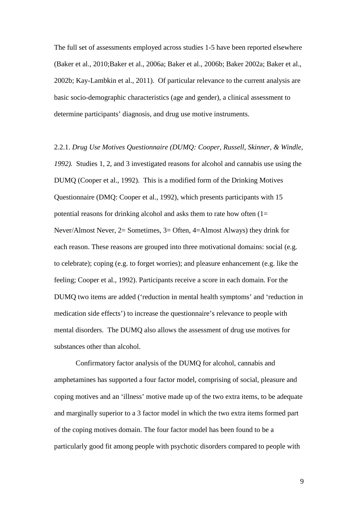The full set of assessments employed across studies 1-5 have been reported elsewhere (Baker et al., 2010;Baker et al., 2006a; Baker et al., 2006b; Baker 2002a; Baker et al., 2002b; Kay-Lambkin et al., 2011). Of particular relevance to the current analysis are basic socio-demographic characteristics (age and gender), a clinical assessment to determine participants' diagnosis, and drug use motive instruments.

2.2.1. *Drug Use Motives Questionnaire (DUMQ: Cooper, Russell, Skinner, & Windle, 1992).* Studies 1, 2, and 3 investigated reasons for alcohol and cannabis use using the DUMQ (Cooper et al., 1992). This is a modified form of the Drinking Motives Questionnaire (DMQ: Cooper et al., 1992), which presents participants with 15 potential reasons for drinking alcohol and asks them to rate how often  $(1=$ Never/Almost Never, 2= Sometimes, 3= Often, 4=Almost Always) they drink for each reason. These reasons are grouped into three motivational domains: social (e.g. to celebrate); coping (e.g. to forget worries); and pleasure enhancement (e.g. like the feeling; Cooper et al., 1992). Participants receive a score in each domain. For the DUMQ two items are added ('reduction in mental health symptoms' and 'reduction in medication side effects') to increase the questionnaire's relevance to people with mental disorders. The DUMQ also allows the assessment of drug use motives for substances other than alcohol.

Confirmatory factor analysis of the DUMQ for alcohol, cannabis and amphetamines has supported a four factor model, comprising of social, pleasure and coping motives and an 'illness' motive made up of the two extra items, to be adequate and marginally superior to a 3 factor model in which the two extra items formed part of the coping motives domain. The four factor model has been found to be a particularly good fit among people with psychotic disorders compared to people with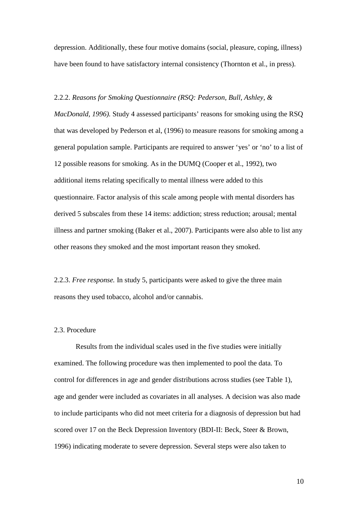depression. Additionally, these four motive domains (social, pleasure, coping, illness) have been found to have satisfactory internal consistency (Thornton et al., in press).

#### 2.2.2. *Reasons for Smoking Questionnaire (RSQ: Pederson, Bull, Ashley, &*

*MacDonald, 1996).* Study 4 assessed participants' reasons for smoking using the RSQ that was developed by Pederson et al, (1996) to measure reasons for smoking among a general population sample. Participants are required to answer 'yes' or 'no' to a list of 12 possible reasons for smoking. As in the DUMQ (Cooper et al., 1992), two additional items relating specifically to mental illness were added to this questionnaire. Factor analysis of this scale among people with mental disorders has derived 5 subscales from these 14 items: addiction; stress reduction; arousal; mental illness and partner smoking (Baker et al., 2007). Participants were also able to list any other reasons they smoked and the most important reason they smoked.

2.2.3. *Free response.* In study 5, participants were asked to give the three main reasons they used tobacco, alcohol and/or cannabis.

#### 2.3. Procedure

Results from the individual scales used in the five studies were initially examined. The following procedure was then implemented to pool the data. To control for differences in age and gender distributions across studies (see Table 1), age and gender were included as covariates in all analyses. A decision was also made to include participants who did not meet criteria for a diagnosis of depression but had scored over 17 on the Beck Depression Inventory (BDI-II: Beck, Steer & Brown, 1996) indicating moderate to severe depression. Several steps were also taken to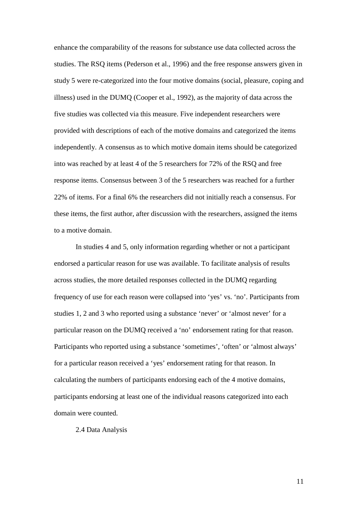enhance the comparability of the reasons for substance use data collected across the studies. The RSQ items (Pederson et al., 1996) and the free response answers given in study 5 were re-categorized into the four motive domains (social, pleasure, coping and illness) used in the DUMQ (Cooper et al., 1992), as the majority of data across the five studies was collected via this measure. Five independent researchers were provided with descriptions of each of the motive domains and categorized the items independently. A consensus as to which motive domain items should be categorized into was reached by at least 4 of the 5 researchers for 72% of the RSQ and free response items. Consensus between 3 of the 5 researchers was reached for a further 22% of items. For a final 6% the researchers did not initially reach a consensus. For these items, the first author, after discussion with the researchers, assigned the items to a motive domain.

In studies 4 and 5, only information regarding whether or not a participant endorsed a particular reason for use was available. To facilitate analysis of results across studies, the more detailed responses collected in the DUMQ regarding frequency of use for each reason were collapsed into 'yes' vs. 'no'. Participants from studies 1, 2 and 3 who reported using a substance 'never' or 'almost never' for a particular reason on the DUMQ received a 'no' endorsement rating for that reason. Participants who reported using a substance 'sometimes', 'often' or 'almost always' for a particular reason received a 'yes' endorsement rating for that reason. In calculating the numbers of participants endorsing each of the 4 motive domains, participants endorsing at least one of the individual reasons categorized into each domain were counted.

2.4 Data Analysis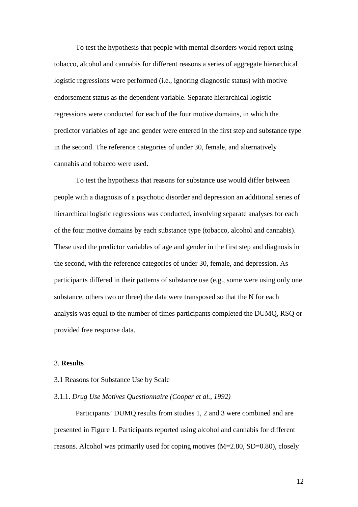To test the hypothesis that people with mental disorders would report using tobacco, alcohol and cannabis for different reasons a series of aggregate hierarchical logistic regressions were performed (i.e., ignoring diagnostic status) with motive endorsement status as the dependent variable. Separate hierarchical logistic regressions were conducted for each of the four motive domains, in which the predictor variables of age and gender were entered in the first step and substance type in the second. The reference categories of under 30, female, and alternatively cannabis and tobacco were used.

To test the hypothesis that reasons for substance use would differ between people with a diagnosis of a psychotic disorder and depression an additional series of hierarchical logistic regressions was conducted, involving separate analyses for each of the four motive domains by each substance type (tobacco, alcohol and cannabis). These used the predictor variables of age and gender in the first step and diagnosis in the second, with the reference categories of under 30, female, and depression. As participants differed in their patterns of substance use (e.g., some were using only one substance, others two or three) the data were transposed so that the N for each analysis was equal to the number of times participants completed the DUMQ, RSQ or provided free response data.

#### 3. **Results**

#### 3.1 Reasons for Substance Use by Scale

#### 3.1.1. *Drug Use Motives Questionnaire (Cooper et al., 1992)*

Participants' DUMQ results from studies 1, 2 and 3 were combined and are presented in Figure 1. Participants reported using alcohol and cannabis for different reasons. Alcohol was primarily used for coping motives (M=2.80, SD=0.80), closely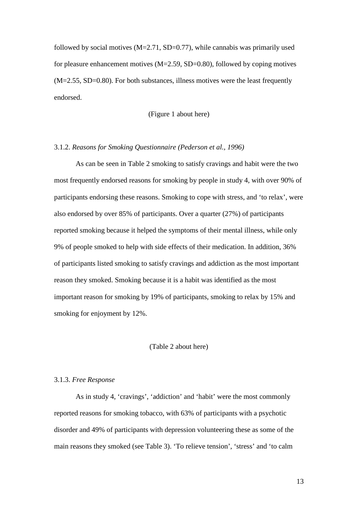followed by social motives  $(M=2.71, SD=0.77)$ , while cannabis was primarily used for pleasure enhancement motives  $(M=2.59, SD=0.80)$ , followed by coping motives (M=2.55, SD=0.80). For both substances, illness motives were the least frequently endorsed.

#### (Figure 1 about here)

# 3.1.2. *Reasons for Smoking Questionnaire (Pederson et al., 1996)*

As can be seen in Table 2 smoking to satisfy cravings and habit were the two most frequently endorsed reasons for smoking by people in study 4, with over 90% of participants endorsing these reasons. Smoking to cope with stress, and 'to relax', were also endorsed by over 85% of participants. Over a quarter (27%) of participants reported smoking because it helped the symptoms of their mental illness, while only 9% of people smoked to help with side effects of their medication. In addition, 36% of participants listed smoking to satisfy cravings and addiction as the most important reason they smoked. Smoking because it is a habit was identified as the most important reason for smoking by 19% of participants, smoking to relax by 15% and smoking for enjoyment by 12%.

#### (Table 2 about here)

#### 3.1.3. *Free Response*

As in study 4, 'cravings', 'addiction' and 'habit' were the most commonly reported reasons for smoking tobacco, with 63% of participants with a psychotic disorder and 49% of participants with depression volunteering these as some of the main reasons they smoked (see Table 3). 'To relieve tension', 'stress' and 'to calm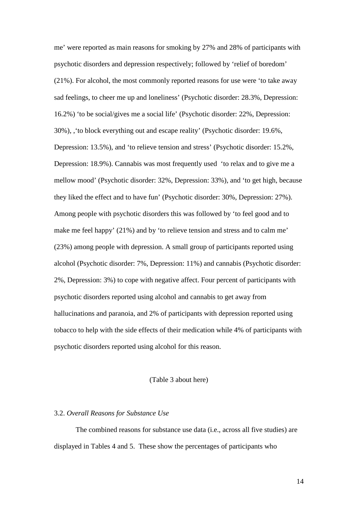me' were reported as main reasons for smoking by 27% and 28% of participants with psychotic disorders and depression respectively; followed by 'relief of boredom' (21%). For alcohol, the most commonly reported reasons for use were 'to take away sad feelings, to cheer me up and loneliness' (Psychotic disorder: 28.3%, Depression: 16.2%) 'to be social/gives me a social life' (Psychotic disorder: 22%, Depression: 30%), ,'to block everything out and escape reality' (Psychotic disorder: 19.6%, Depression: 13.5%), and 'to relieve tension and stress' (Psychotic disorder: 15.2%, Depression: 18.9%). Cannabis was most frequently used 'to relax and to give me a mellow mood' (Psychotic disorder: 32%, Depression: 33%), and 'to get high, because they liked the effect and to have fun' (Psychotic disorder: 30%, Depression: 27%). Among people with psychotic disorders this was followed by 'to feel good and to make me feel happy' (21%) and by 'to relieve tension and stress and to calm me' (23%) among people with depression. A small group of participants reported using alcohol (Psychotic disorder: 7%, Depression: 11%) and cannabis (Psychotic disorder: 2%, Depression: 3%) to cope with negative affect. Four percent of participants with psychotic disorders reported using alcohol and cannabis to get away from hallucinations and paranoia, and 2% of participants with depression reported using tobacco to help with the side effects of their medication while 4% of participants with psychotic disorders reported using alcohol for this reason.

## (Table 3 about here)

#### 3.2. *Overall Reasons for Substance Use*

The combined reasons for substance use data (i.e., across all five studies) are displayed in Tables 4 and 5. These show the percentages of participants who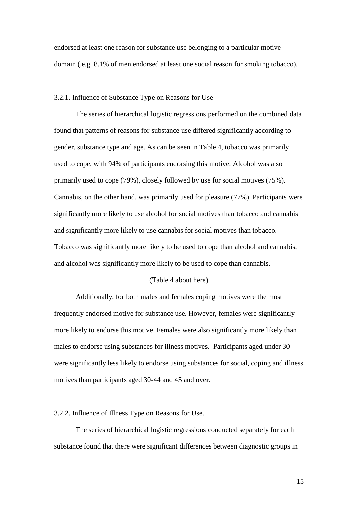endorsed at least one reason for substance use belonging to a particular motive domain (.e.g. 8.1% of men endorsed at least one social reason for smoking tobacco).

#### 3.2.1. Influence of Substance Type on Reasons for Use

The series of hierarchical logistic regressions performed on the combined data found that patterns of reasons for substance use differed significantly according to gender, substance type and age. As can be seen in Table 4, tobacco was primarily used to cope, with 94% of participants endorsing this motive. Alcohol was also primarily used to cope (79%), closely followed by use for social motives (75%). Cannabis, on the other hand, was primarily used for pleasure (77%). Participants were significantly more likely to use alcohol for social motives than tobacco and cannabis and significantly more likely to use cannabis for social motives than tobacco. Tobacco was significantly more likely to be used to cope than alcohol and cannabis, and alcohol was significantly more likely to be used to cope than cannabis.

# (Table 4 about here)

Additionally, for both males and females coping motives were the most frequently endorsed motive for substance use. However, females were significantly more likely to endorse this motive. Females were also significantly more likely than males to endorse using substances for illness motives. Participants aged under 30 were significantly less likely to endorse using substances for social, coping and illness motives than participants aged 30-44 and 45 and over.

#### 3.2.2. Influence of Illness Type on Reasons for Use.

The series of hierarchical logistic regressions conducted separately for each substance found that there were significant differences between diagnostic groups in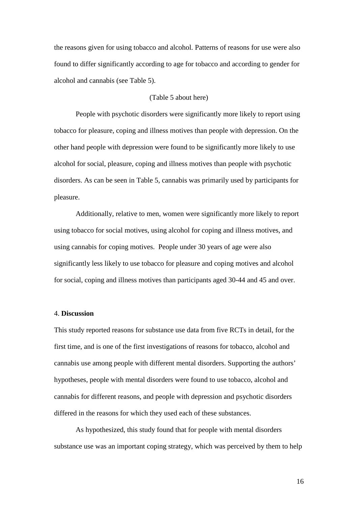the reasons given for using tobacco and alcohol. Patterns of reasons for use were also found to differ significantly according to age for tobacco and according to gender for alcohol and cannabis (see Table 5).

## (Table 5 about here)

People with psychotic disorders were significantly more likely to report using tobacco for pleasure, coping and illness motives than people with depression. On the other hand people with depression were found to be significantly more likely to use alcohol for social, pleasure, coping and illness motives than people with psychotic disorders. As can be seen in Table 5, cannabis was primarily used by participants for pleasure.

Additionally, relative to men, women were significantly more likely to report using tobacco for social motives, using alcohol for coping and illness motives, and using cannabis for coping motives. People under 30 years of age were also significantly less likely to use tobacco for pleasure and coping motives and alcohol for social, coping and illness motives than participants aged 30-44 and 45 and over.

## 4. **Discussion**

This study reported reasons for substance use data from five RCTs in detail, for the first time, and is one of the first investigations of reasons for tobacco, alcohol and cannabis use among people with different mental disorders. Supporting the authors' hypotheses, people with mental disorders were found to use tobacco, alcohol and cannabis for different reasons, and people with depression and psychotic disorders differed in the reasons for which they used each of these substances.

As hypothesized, this study found that for people with mental disorders substance use was an important coping strategy, which was perceived by them to help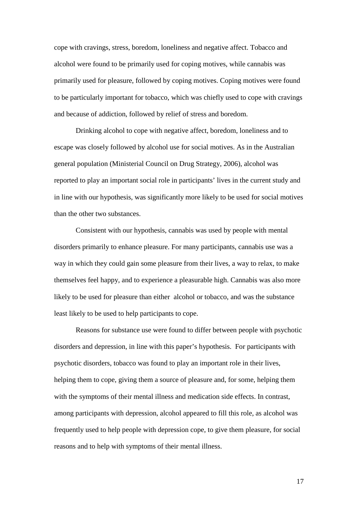cope with cravings, stress, boredom, loneliness and negative affect. Tobacco and alcohol were found to be primarily used for coping motives, while cannabis was primarily used for pleasure, followed by coping motives. Coping motives were found to be particularly important for tobacco, which was chiefly used to cope with cravings and because of addiction, followed by relief of stress and boredom.

Drinking alcohol to cope with negative affect, boredom, loneliness and to escape was closely followed by alcohol use for social motives. As in the Australian general population (Ministerial Council on Drug Strategy, 2006), alcohol was reported to play an important social role in participants' lives in the current study and in line with our hypothesis, was significantly more likely to be used for social motives than the other two substances.

Consistent with our hypothesis, cannabis was used by people with mental disorders primarily to enhance pleasure. For many participants, cannabis use was a way in which they could gain some pleasure from their lives, a way to relax, to make themselves feel happy, and to experience a pleasurable high. Cannabis was also more likely to be used for pleasure than either alcohol or tobacco, and was the substance least likely to be used to help participants to cope.

Reasons for substance use were found to differ between people with psychotic disorders and depression, in line with this paper's hypothesis. For participants with psychotic disorders, tobacco was found to play an important role in their lives, helping them to cope, giving them a source of pleasure and, for some, helping them with the symptoms of their mental illness and medication side effects. In contrast, among participants with depression, alcohol appeared to fill this role, as alcohol was frequently used to help people with depression cope, to give them pleasure, for social reasons and to help with symptoms of their mental illness.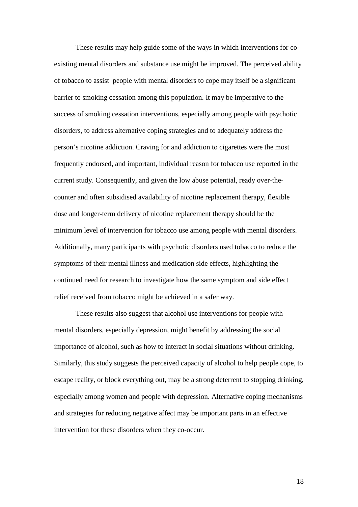These results may help guide some of the ways in which interventions for coexisting mental disorders and substance use might be improved. The perceived ability of tobacco to assist people with mental disorders to cope may itself be a significant barrier to smoking cessation among this population. It may be imperative to the success of smoking cessation interventions, especially among people with psychotic disorders, to address alternative coping strategies and to adequately address the person's nicotine addiction. Craving for and addiction to cigarettes were the most frequently endorsed, and important, individual reason for tobacco use reported in the current study. Consequently, and given the low abuse potential, ready over-thecounter and often subsidised availability of nicotine replacement therapy, flexible dose and longer-term delivery of nicotine replacement therapy should be the minimum level of intervention for tobacco use among people with mental disorders. Additionally, many participants with psychotic disorders used tobacco to reduce the symptoms of their mental illness and medication side effects, highlighting the continued need for research to investigate how the same symptom and side effect relief received from tobacco might be achieved in a safer way.

These results also suggest that alcohol use interventions for people with mental disorders, especially depression, might benefit by addressing the social importance of alcohol, such as how to interact in social situations without drinking. Similarly, this study suggests the perceived capacity of alcohol to help people cope, to escape reality, or block everything out, may be a strong deterrent to stopping drinking, especially among women and people with depression. Alternative coping mechanisms and strategies for reducing negative affect may be important parts in an effective intervention for these disorders when they co-occur.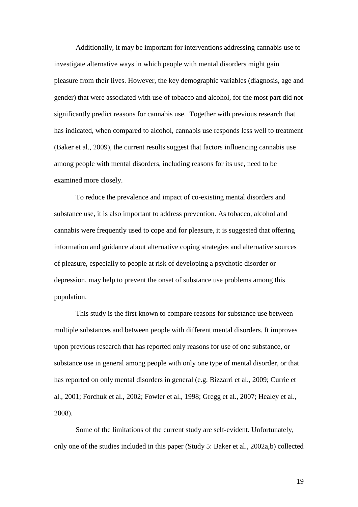Additionally, it may be important for interventions addressing cannabis use to investigate alternative ways in which people with mental disorders might gain pleasure from their lives. However, the key demographic variables (diagnosis, age and gender) that were associated with use of tobacco and alcohol, for the most part did not significantly predict reasons for cannabis use. Together with previous research that has indicated, when compared to alcohol, cannabis use responds less well to treatment (Baker et al., 2009), the current results suggest that factors influencing cannabis use among people with mental disorders, including reasons for its use, need to be examined more closely.

To reduce the prevalence and impact of co-existing mental disorders and substance use, it is also important to address prevention. As tobacco, alcohol and cannabis were frequently used to cope and for pleasure, it is suggested that offering information and guidance about alternative coping strategies and alternative sources of pleasure, especially to people at risk of developing a psychotic disorder or depression, may help to prevent the onset of substance use problems among this population.

This study is the first known to compare reasons for substance use between multiple substances and between people with different mental disorders. It improves upon previous research that has reported only reasons for use of one substance, or substance use in general among people with only one type of mental disorder, or that has reported on only mental disorders in general (e.g. Bizzarri et al., 2009; Currie et al., 2001; Forchuk et al., 2002; Fowler et al., 1998; Gregg et al., 2007; Healey et al., 2008).

Some of the limitations of the current study are self-evident. Unfortunately, only one of the studies included in this paper (Study 5: Baker et al., 2002a,b) collected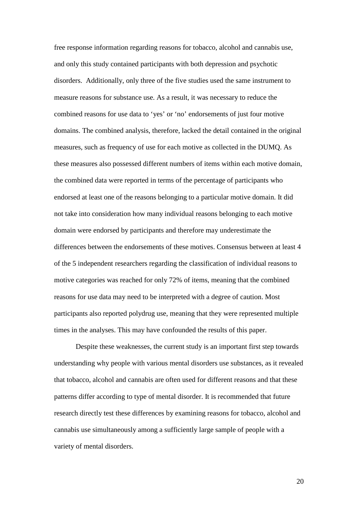free response information regarding reasons for tobacco, alcohol and cannabis use, and only this study contained participants with both depression and psychotic disorders. Additionally, only three of the five studies used the same instrument to measure reasons for substance use. As a result, it was necessary to reduce the combined reasons for use data to 'yes' or 'no' endorsements of just four motive domains. The combined analysis, therefore, lacked the detail contained in the original measures, such as frequency of use for each motive as collected in the DUMQ. As these measures also possessed different numbers of items within each motive domain, the combined data were reported in terms of the percentage of participants who endorsed at least one of the reasons belonging to a particular motive domain. It did not take into consideration how many individual reasons belonging to each motive domain were endorsed by participants and therefore may underestimate the differences between the endorsements of these motives. Consensus between at least 4 of the 5 independent researchers regarding the classification of individual reasons to motive categories was reached for only 72% of items, meaning that the combined reasons for use data may need to be interpreted with a degree of caution. Most participants also reported polydrug use, meaning that they were represented multiple times in the analyses. This may have confounded the results of this paper.

Despite these weaknesses, the current study is an important first step towards understanding why people with various mental disorders use substances, as it revealed that tobacco, alcohol and cannabis are often used for different reasons and that these patterns differ according to type of mental disorder. It is recommended that future research directly test these differences by examining reasons for tobacco, alcohol and cannabis use simultaneously among a sufficiently large sample of people with a variety of mental disorders.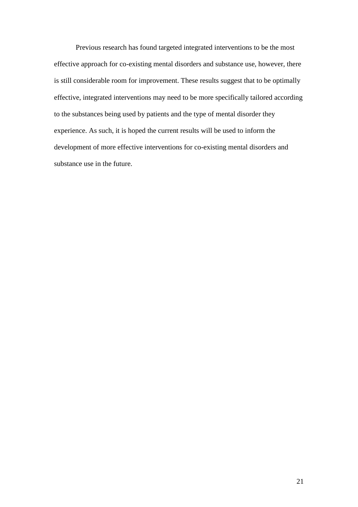Previous research has found targeted integrated interventions to be the most effective approach for co-existing mental disorders and substance use, however, there is still considerable room for improvement. These results suggest that to be optimally effective, integrated interventions may need to be more specifically tailored according to the substances being used by patients and the type of mental disorder they experience. As such, it is hoped the current results will be used to inform the development of more effective interventions for co-existing mental disorders and substance use in the future.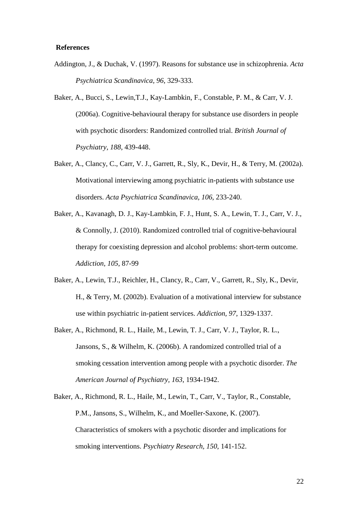#### **References**

- Addington, J., & Duchak, V. (1997). Reasons for substance use in schizophrenia. *Acta Psychiatrica Scandinavica, 96*, 329-333.
- Baker, A., Bucci, S., Lewin,T.J., Kay-Lambkin, F., Constable, P. M., & Carr, V. J. (2006a). Cognitive-behavioural therapy for substance use disorders in people with psychotic disorders: Randomized controlled trial. *British Journal of Psychiatry, 188*, 439-448.
- Baker, A., Clancy, C., Carr, V. J., Garrett, R., Sly, K., Devir, H., & Terry, M. (2002a). Motivational interviewing among psychiatric in-patients with substance use disorders. *Acta Psychiatrica Scandinavica, 106*, 233-240.
- Baker, A., Kavanagh, D. J., Kay-Lambkin, F. J., Hunt, S. A., Lewin, T. J., Carr, V. J., & Connolly, J. (2010). Randomized controlled trial of cognitive-behavioural therapy for coexisting depression and alcohol problems: short-term outcome. *Addiction, 105*, 87-99
- Baker, A., Lewin, T.J., Reichler, H., Clancy, R., Carr, V., Garrett, R., Sly, K., Devir, H., & Terry, M. (2002b). Evaluation of a motivational interview for substance use within psychiatric in-patient services. *Addiction, 97*, 1329-1337.
- Baker, A., Richmond, R. L., Haile, M., Lewin, T. J., Carr, V. J., Taylor, R. L., Jansons, S., & Wilhelm, K. (2006b). A randomized controlled trial of a smoking cessation intervention among people with a psychotic disorder. *The American Journal of Psychiatry, 163*, 1934-1942.
- Baker, A., Richmond, R. L., Haile, M., Lewin, T., Carr, V., Taylor, R., Constable, P.M., Jansons, S., Wilhelm, K., and Moeller-Saxone, K. (2007). Characteristics of smokers with a psychotic disorder and implications for smoking interventions. *Psychiatry Research, 150*, 141-152.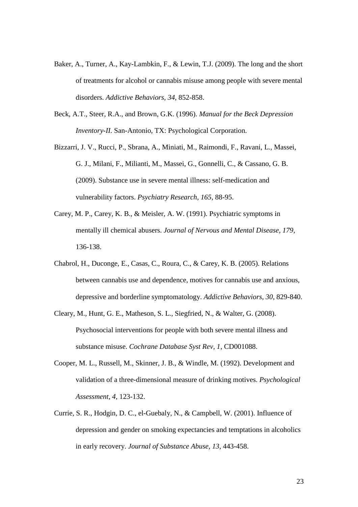- Baker, A., Turner, A., Kay-Lambkin, F., & Lewin, T.J. (2009). The long and the short of treatments for alcohol or cannabis misuse among people with severe mental disorders. *Addictive Behaviors, 34*, 852-858.
- Beck, A.T., Steer, R.A., and Brown, G.K. (1996). *Manual for the Beck Depression Inventory-II.* San-Antonio, TX: Psychological Corporation.
- Bizzarri, J. V., Rucci, P., Sbrana, A., Miniati, M., Raimondi, F., Ravani, L., Massei, G. J., Milani, F., Milianti, M., Massei, G., Gonnelli, C., & Cassano, G. B. (2009). Substance use in severe mental illness: self-medication and vulnerability factors. *Psychiatry Research, 165*, 88-95.
- Carey, M. P., Carey, K. B., & Meisler, A. W. (1991). Psychiatric symptoms in mentally ill chemical abusers. *Journal of Nervous and Mental Disease, 179*, 136-138.
- Chabrol, H., Duconge, E., Casas, C., Roura, C., & Carey, K. B. (2005). Relations between cannabis use and dependence, motives for cannabis use and anxious, depressive and borderline symptomatology. *Addictive Behaviors, 30*, 829-840.
- Cleary, M., Hunt, G. E., Matheson, S. L., Siegfried, N., & Walter, G. (2008). Psychosocial interventions for people with both severe mental illness and substance misuse. *Cochrane Database Syst Rev, 1*, CD001088.
- Cooper, M. L., Russell, M., Skinner, J. B., & Windle, M. (1992). Development and validation of a three-dimensional measure of drinking motives. *Psychological Assessment, 4*, 123-132.
- Currie, S. R., Hodgin, D. C., el-Guebaly, N., & Campbell, W. (2001). Influence of depression and gender on smoking expectancies and temptations in alcoholics in early recovery. *Journal of Substance Abuse, 13*, 443-458.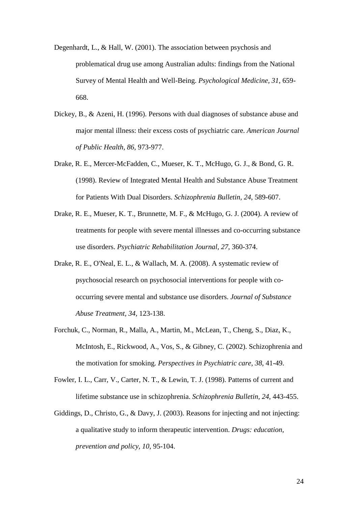- Degenhardt, L., & Hall, W. (2001). The association between psychosis and problematical drug use among Australian adults: findings from the National Survey of Mental Health and Well-Being. *Psychological Medicine, 31*, 659- 668.
- Dickey, B., & Azeni, H. (1996). Persons with dual diagnoses of substance abuse and major mental illness: their excess costs of psychiatric care. *American Journal of Public Health, 86*, 973-977.
- Drake, R. E., Mercer-McFadden, C., Mueser, K. T., McHugo, G. J., & Bond, G. R. (1998). Review of Integrated Mental Health and Substance Abuse Treatment for Patients With Dual Disorders. *Schizophrenia Bulletin, 24*, 589-607.
- Drake, R. E., Mueser, K. T., Brunnette, M. F., & McHugo, G. J. (2004). A review of treatments for people with severe mental illnesses and co-occurring substance use disorders. *Psychiatric Rehabilitation Journal, 27*, 360-374.
- Drake, R. E., O'Neal, E. L., & Wallach, M. A. (2008). A systematic review of psychosocial research on psychosocial interventions for people with cooccurring severe mental and substance use disorders. *Journal of Substance Abuse Treatment, 34*, 123-138.
- Forchuk, C., Norman, R., Malla, A., Martin, M., McLean, T., Cheng, S., Diaz, K., McIntosh, E., Rickwood, A., Vos, S., & Gibney, C. (2002). Schizophrenia and the motivation for smoking. *Perspectives in Psychiatric care, 38*, 41-49.
- Fowler, I. L., Carr, V., Carter, N. T., & Lewin, T. J. (1998). Patterns of current and lifetime substance use in schizophrenia. *Schizophrenia Bulletin, 24*, 443-455.
- Giddings, D., Christo, G., & Davy, J. (2003). Reasons for injecting and not injecting: a qualitative study to inform therapeutic intervention. *Drugs: education, prevention and policy, 10*, 95-104.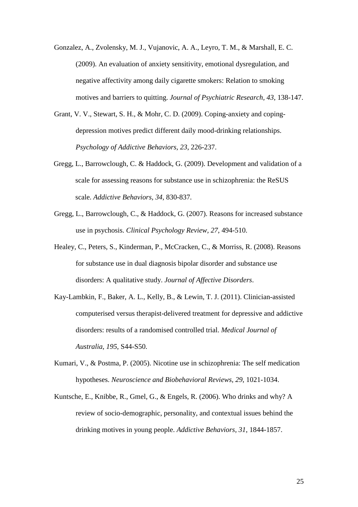- Gonzalez, A., Zvolensky, M. J., Vujanovic, A. A., Leyro, T. M., & Marshall, E. C. (2009). An evaluation of anxiety sensitivity, emotional dysregulation, and negative affectivity among daily cigarette smokers: Relation to smoking motives and barriers to quitting. *Journal of Psychiatric Research, 43*, 138-147.
- Grant, V. V., Stewart, S. H., & Mohr, C. D. (2009). Coping-anxiety and copingdepression motives predict different daily mood-drinking relationships. *Psychology of Addictive Behaviors, 23*, 226-237.
- Gregg, L., Barrowclough, C. & Haddock, G. (2009). Development and validation of a scale for assessing reasons for substance use in schizophrenia: the ReSUS scale. *Addictive Behaviors, 34*, 830-837*.*
- Gregg, L., Barrowclough, C., & Haddock, G. (2007). Reasons for increased substance use in psychosis. *Clinical Psychology Review, 27*, 494-510.
- Healey, C., Peters, S., Kinderman, P., McCracken, C., & Morriss, R. (2008). Reasons for substance use in dual diagnosis bipolar disorder and substance use disorders: A qualitative study. *Journal of Affective Disorders*.
- Kay-Lambkin, F., Baker, A. L., Kelly, B., & Lewin, T. J. (2011). Clinician-assisted computerised versus therapist-delivered treatment for depressive and addictive disorders: results of a randomised controlled trial. *Medical Journal of Australia*, *195*, S44-S50.
- Kumari, V., & Postma, P. (2005). Nicotine use in schizophrenia: The self medication hypotheses. *Neuroscience and Biobehavioral Reviews, 29*, 1021-1034.
- Kuntsche, E., Knibbe, R., Gmel, G., & Engels, R. (2006). Who drinks and why? A review of socio-demographic, personality, and contextual issues behind the drinking motives in young people. *Addictive Behaviors, 31*, 1844-1857.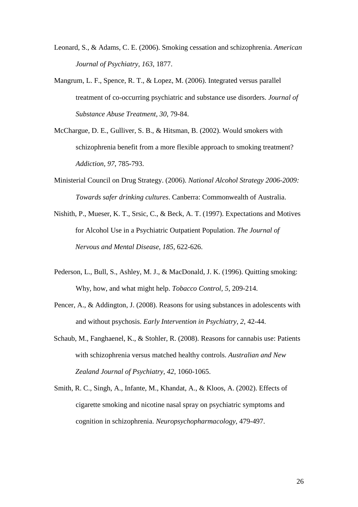- Leonard, S., & Adams, C. E. (2006). Smoking cessation and schizophrenia. *American Journal of Psychiatry, 163*, 1877.
- Mangrum, L. F., Spence, R. T., & Lopez, M. (2006). Integrated versus parallel treatment of co-occurring psychiatric and substance use disorders. *Journal of Substance Abuse Treatment, 30*, 79-84.
- McChargue, D. E., Gulliver, S. B., & Hitsman, B. (2002). Would smokers with schizophrenia benefit from a more flexible approach to smoking treatment? *Addiction, 97*, 785-793.
- Ministerial Council on Drug Strategy. (2006). *National Alcohol Strategy 2006-2009: Towards safer drinking cultures*. Canberra: Commonwealth of Australia.
- Nishith, P., Mueser, K. T., Srsic, C., & Beck, A. T. (1997). Expectations and Motives for Alcohol Use in a Psychiatric Outpatient Population. *The Journal of Nervous and Mental Disease, 185*, 622-626.
- Pederson, L., Bull, S., Ashley, M. J., & MacDonald, J. K. (1996). Quitting smoking: Why, how, and what might help. *Tobacco Control, 5*, 209-214.
- Pencer, A., & Addington, J. (2008). Reasons for using substances in adolescents with and without psychosis. *Early Intervention in Psychiatry, 2*, 42-44.
- Schaub, M., Fanghaenel, K., & Stohler, R. (2008). Reasons for cannabis use: Patients with schizophrenia versus matched healthy controls. *Australian and New Zealand Journal of Psychiatry, 42*, 1060-1065.
- Smith, R. C., Singh, A., Infante, M., Khandat, A., & Kloos, A. (2002). Effects of cigarette smoking and nicotine nasal spray on psychiatric symptoms and cognition in schizophrenia. *Neuropsychopharmacology*, 479-497.